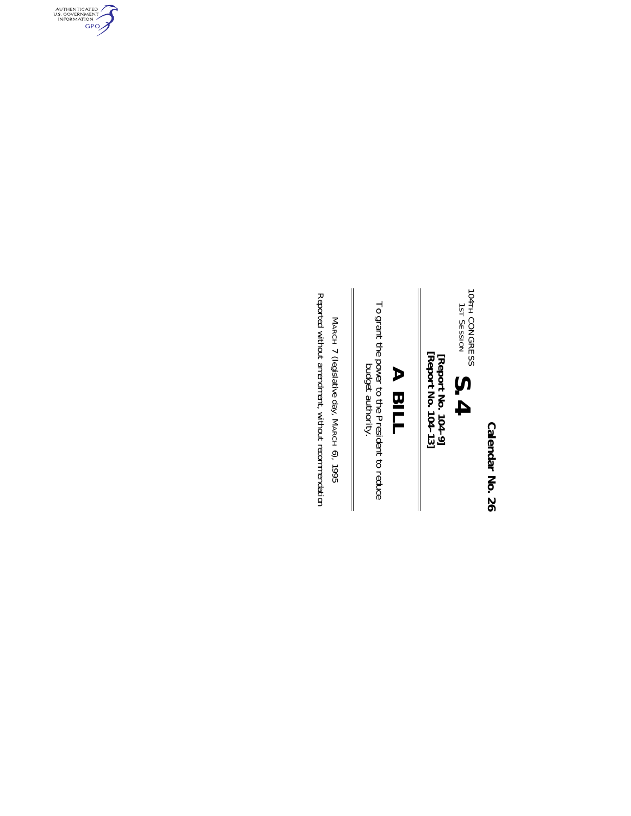**Calendar No. 26 Calendar No. 26**



[Report No. 104-9]<br>[Report No. 104-13] **[Report No. 104–13] [Report No. 104–9]**

# **A BILL**

To grant the power to the President to reduce  $\frac{1}{2}$ To grant the power to the President to reduce budget authority.

 $\mathbb{I}$ 

Reported without amendment, without recommendation Reported without amendment, without recommendationMARCH 7 (legislative day, MARCH 6), 1995

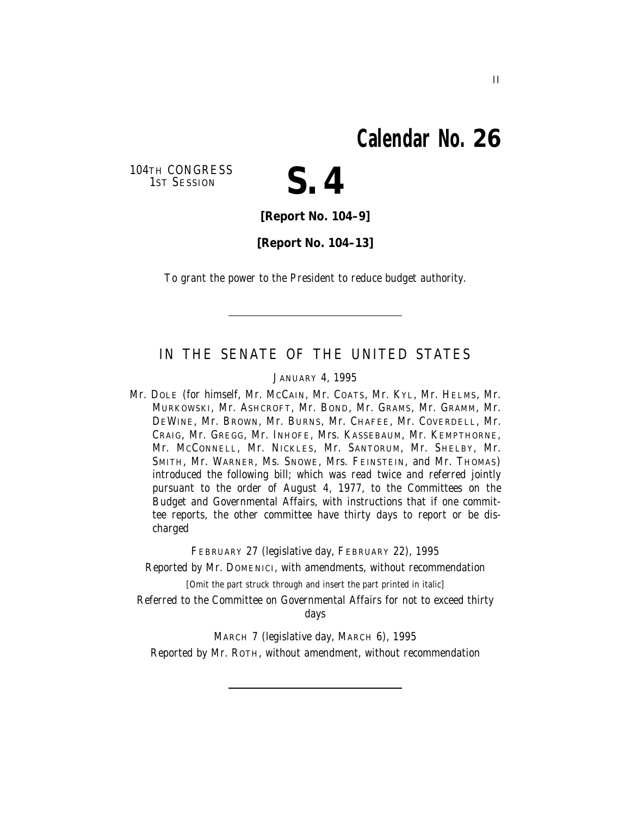### **Calendar No. 26**

104TH CONGRESS<br>1ST SESSION



**[Report No. 104–9]**

**[Report No. 104–13]**

To grant the power to the President to reduce budget authority.

#### IN THE SENATE OF THE UNITED STATES

JANUARY 4, 1995

Mr. DOLE (for himself, Mr. MCCAIN, Mr. COATS, Mr. KYL, Mr. HELMS, Mr. MURKOWSKI, Mr. ASHCROFT, Mr. BOND, Mr. GRAMS, Mr. GRAMM, Mr. DEWINE, Mr. BROWN, Mr. BURNS, Mr. CHAFEE, Mr. COVERDELL, Mr. CRAIG, Mr. GREGG, Mr. INHOFE, Mrs. KASSEBAUM, Mr. KEMPTHORNE, Mr. MCCONNELL, Mr. NICKLES, Mr. SANTORUM, Mr. SHELBY, Mr. SMITH, Mr. WARNER, Ms. SNOWE, Mrs. FEINSTEIN, and Mr. THOMAS) introduced the following bill; which was read twice and referred jointly pursuant to the order of August 4, 1977, to the Committees on the Budget and Governmental Affairs, with instructions that if one committee reports, the other committee have thirty days to report or be discharged

FEBRUARY 27 (legislative day, FEBRUARY 22), 1995

Reported by Mr. DOMENICI, with amendments, without recommendation

[Omit the part struck through and insert the part printed in italic]

Referred to the Committee on Governmental Affairs for not to exceed thirty days

MARCH 7 (legislative day, MARCH 6), 1995 Reported by Mr. ROTH, without amendment, without recommendation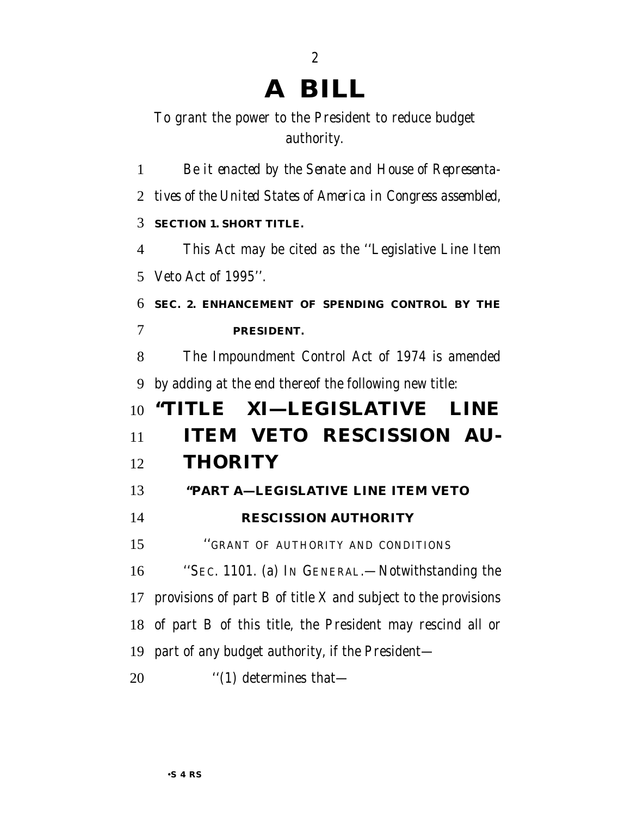## **A BILL**

#### To grant the power to the President to reduce budget authority.

 *Be it enacted by the Senate and House of Representa- tives of the United States of America in Congress assembled,* **SECTION 1. SHORT TITLE.** This Act may be cited as the ''Legislative Line Item Veto Act of 1995''. **SEC. 2. ENHANCEMENT OF SPENDING CONTROL BY THE PRESIDENT.** The Impoundment Control Act of 1974 is amended by adding at the end thereof the following new title: **''TITLE XI—LEGISLATIVE LINE ITEM VETO RESCISSION AU- THORITY ''PART A—LEGISLATIVE LINE ITEM VETO RESCISSION AUTHORITY** ''GRANT OF AUTHORITY AND CONDITIONS ''SEC. 1101. (a) IN GENERAL.—Notwithstanding the provisions of part B of title X and subject to the provisions of part B of this title, the President may rescind all or part of any budget authority, if the President—  $\qquad$  ''(1) determines that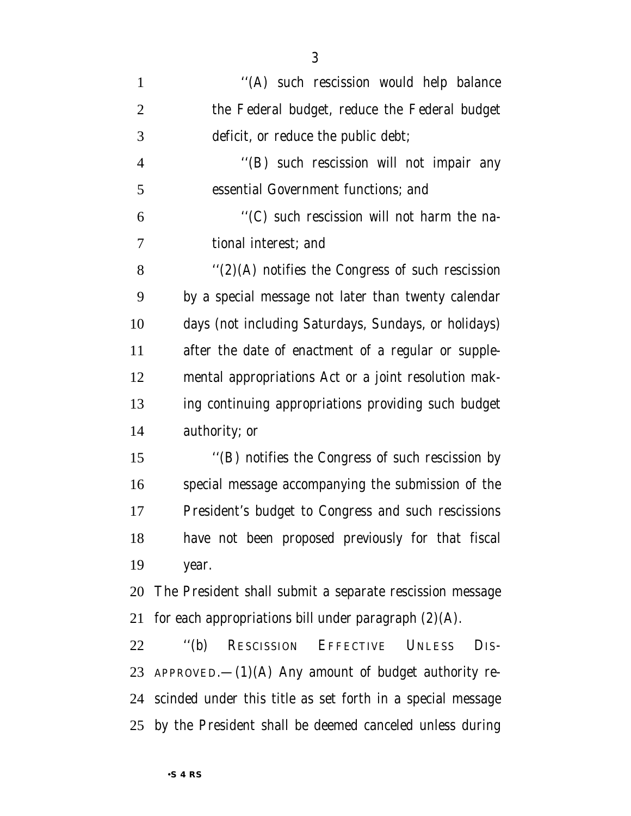| $\mathbf{1}$   | "(A) such rescission would help balance                                                |
|----------------|----------------------------------------------------------------------------------------|
| $\overline{2}$ | the Federal budget, reduce the Federal budget                                          |
| 3              | deficit, or reduce the public debt;                                                    |
| $\overline{4}$ | "(B) such rescission will not impair any                                               |
| 5              | essential Government functions; and                                                    |
| 6              | "(C) such rescission will not harm the na-                                             |
| $\overline{7}$ | tional interest; and                                                                   |
| 8              | $f'(2)$ (A) notifies the Congress of such rescission                                   |
| 9              | by a special message not later than twenty calendar                                    |
| 10             | days (not including Saturdays, Sundays, or holidays)                                   |
| 11             | after the date of enactment of a regular or supple-                                    |
| 12             | mental appropriations Act or a joint resolution mak-                                   |
| 13             | ing continuing appropriations providing such budget                                    |
| 14             | authority; or                                                                          |
| 15             | "(B) notifies the Congress of such rescission by                                       |
| 16             | special message accompanying the submission of the                                     |
| 17             | President's budget to Congress and such rescissions                                    |
| 18             | have not been proposed previously for that fiscal                                      |
| 19             | year.                                                                                  |
| 20             | The President shall submit a separate rescission message                               |
| 21             | for each appropriations bill under paragraph $(2)(A)$ .                                |
| 22             | $\cdot$ <sup>'</sup> (b)<br>RESCISSION EFFECTIVE<br><b>UNLESS</b><br>D <sub>IS</sub> - |
| 23             | APPROVED. $-(1)(A)$ Any amount of budget authority re-                                 |
|                | 24 scinded under this title as set forth in a special message                          |
|                | 25 by the President shall be deemed canceled unless during                             |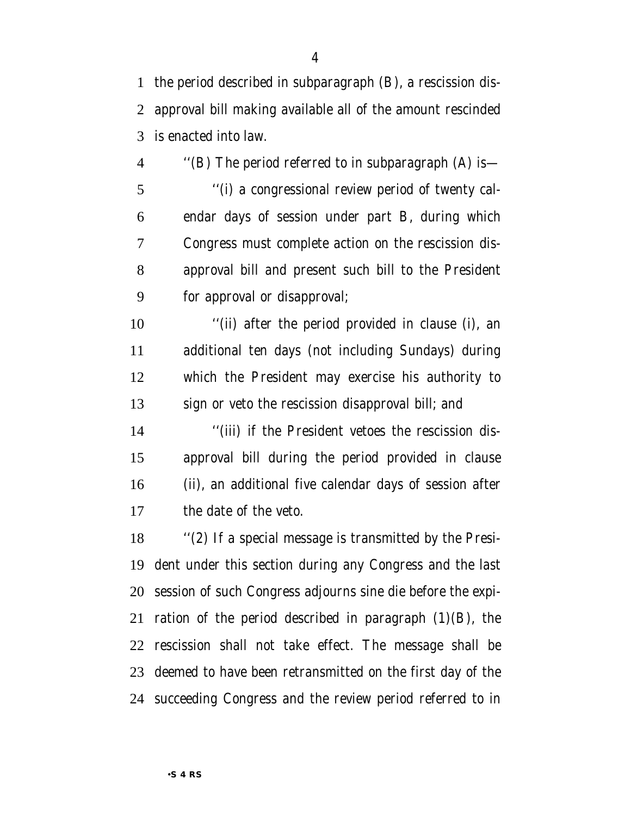the period described in subparagraph (B), a rescission dis- approval bill making available all of the amount rescinded is enacted into law.

 ''(B) The period referred to in subparagraph (A) is— ''(i) a congressional review period of twenty cal- endar days of session under part B, during which Congress must complete action on the rescission dis- approval bill and present such bill to the President for approval or disapproval;

 ''(ii) after the period provided in clause (i), an additional ten days (not including Sundays) during which the President may exercise his authority to sign or veto the rescission disapproval bill; and

 ''(iii) if the President vetoes the rescission dis- approval bill during the period provided in clause (ii), an additional five calendar days of session after the date of the veto.

 ''(2) If a special message is transmitted by the Presi- dent under this section during any Congress and the last session of such Congress adjourns sine die before the expi-21 ration of the period described in paragraph  $(1)(B)$ , the rescission shall not take effect. The message shall be deemed to have been retransmitted on the first day of the succeeding Congress and the review period referred to in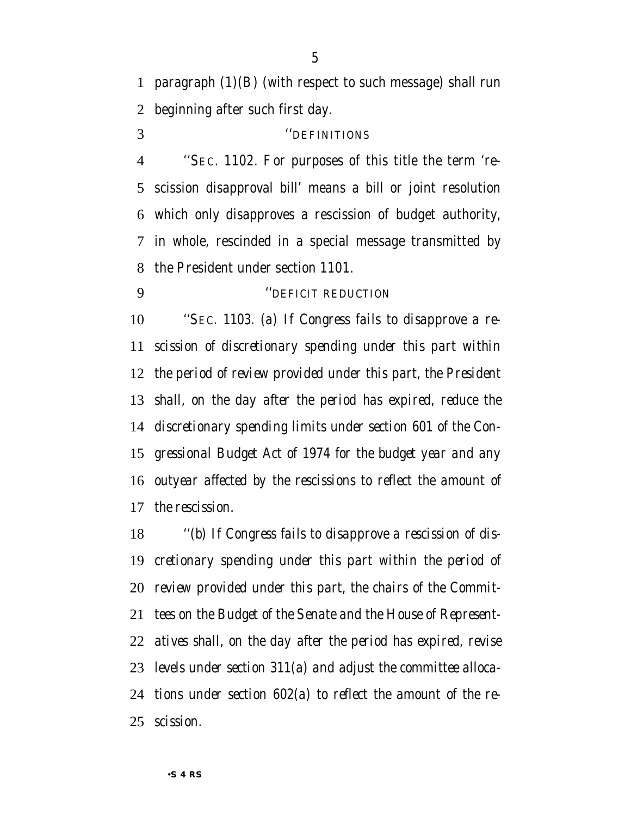paragraph (1)(B) (with respect to such message) shall run beginning after such first day.

#### ''DEFINITIONS

 ''SEC. 1102. For purposes of this title the term 're- scission disapproval bill' means a bill or joint resolution which only disapproves a rescission of budget authority, in whole, rescinded in a special message transmitted by the President under section 1101.

*''DEFICIT REDUCTION*

 *''SEC. 1103. (a) If Congress fails to disapprove a re- scission of discretionary spending under this part within the period of review provided under this part, the President shall, on the day after the period has expired, reduce the discretionary spending limits under section 601 of the Con- gressional Budget Act of 1974 for the budget year and any outyear affected by the rescissions to reflect the amount of the rescission.*

 *''(b) If Congress fails to disapprove a rescission of dis- cretionary spending under this part within the period of review provided under this part, the chairs of the Commit- tees on the Budget of the Senate and the House of Represent- atives shall, on the day after the period has expired, revise levels under section 311(a) and adjust the committee alloca- tions under section 602(a) to reflect the amount of the re-scission.*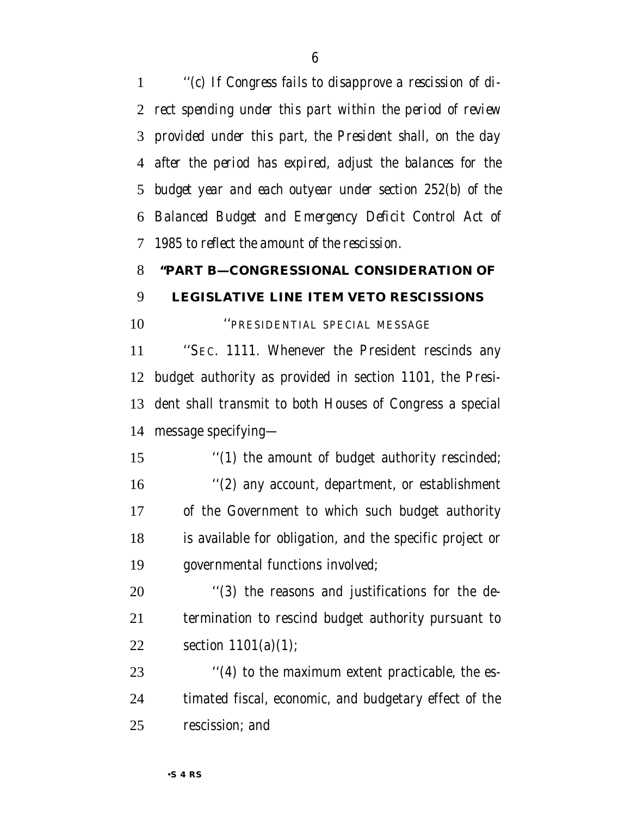*''(c) If Congress fails to disapprove a rescission of di- rect spending under this part within the period of review provided under this part, the President shall, on the day after the period has expired, adjust the balances for the budget year and each outyear under section 252(b) of the Balanced Budget and Emergency Deficit Control Act of 1985 to reflect the amount of the rescission.*

#### **''PART B—CONGRESSIONAL CONSIDERATION OF**

#### **LEGISLATIVE LINE ITEM VETO RESCISSIONS**

''PRESIDENTIAL SPECIAL MESSAGE

 ''SEC. 1111. Whenever the President rescinds any budget authority as provided in section 1101, the Presi- dent shall transmit to both Houses of Congress a special message specifying—

 $\frac{1}{2}$  (1) the amount of budget authority rescinded; ''(2) any account, department, or establishment of the Government to which such budget authority is available for obligation, and the specific project or governmental functions involved;

 ''(3) the reasons and justifications for the de- termination to rescind budget authority pursuant to section 1101(a)(1);

23 ''(4) to the maximum extent practicable, the es- timated fiscal, economic, and budgetary effect of the rescission; and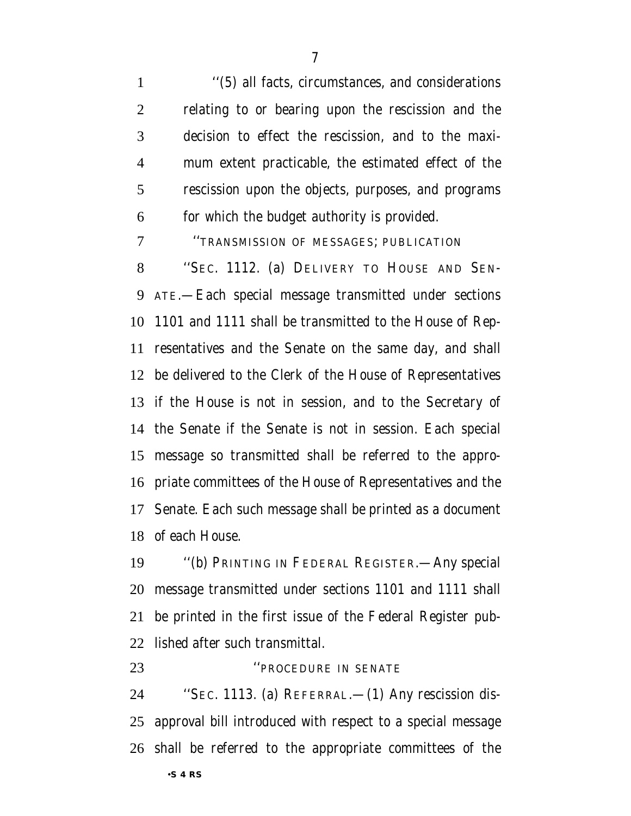''(5) all facts, circumstances, and considerations relating to or bearing upon the rescission and the decision to effect the rescission, and to the maxi- mum extent practicable, the estimated effect of the rescission upon the objects, purposes, and programs for which the budget authority is provided.

''TRANSMISSION OF MESSAGES; PUBLICATION

 ''SEC. 1112. (a) DELIVERY TO HOUSE AND SEN- ATE.—Each special message transmitted under sections 1101 and 1111 shall be transmitted to the House of Rep- resentatives and the Senate on the same day, and shall be delivered to the Clerk of the House of Representatives if the House is not in session, and to the Secretary of the Senate if the Senate is not in session. Each special message so transmitted shall be referred to the appro- priate committees of the House of Representatives and the Senate. Each such message shall be printed as a document of each House.

 ''(b) PRINTING IN FEDERAL REGISTER.—Any special message transmitted under sections 1101 and 1111 shall be printed in the first issue of the Federal Register pub-lished after such transmittal.

 ''SEC. 1113. (a) REFERRAL.—(1) Any rescission dis- approval bill introduced with respect to a special message shall be referred to the appropriate committees of the

**The CELLANT SENATE** PROCEDURE IN SENATE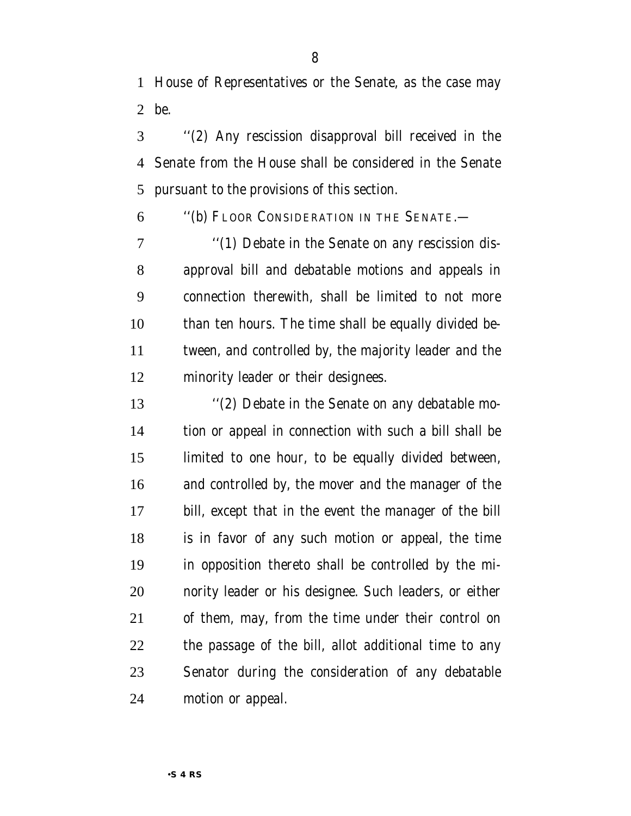House of Representatives or the Senate, as the case may be.

 ''(2) Any rescission disapproval bill received in the Senate from the House shall be considered in the Senate pursuant to the provisions of this section.

''(b) FLOOR CONSIDERATION IN THE SENATE.—

7 "(1) Debate in the Senate on any rescission dis- approval bill and debatable motions and appeals in connection therewith, shall be limited to not more than ten hours. The time shall be equally divided be- tween, and controlled by, the majority leader and the minority leader or their designees.

 ''(2) Debate in the Senate on any debatable mo- tion or appeal in connection with such a bill shall be limited to one hour, to be equally divided between, and controlled by, the mover and the manager of the bill, except that in the event the manager of the bill is in favor of any such motion or appeal, the time in opposition thereto shall be controlled by the mi- nority leader or his designee. Such leaders, or either of them, may, from the time under their control on the passage of the bill, allot additional time to any Senator during the consideration of any debatable motion or appeal.